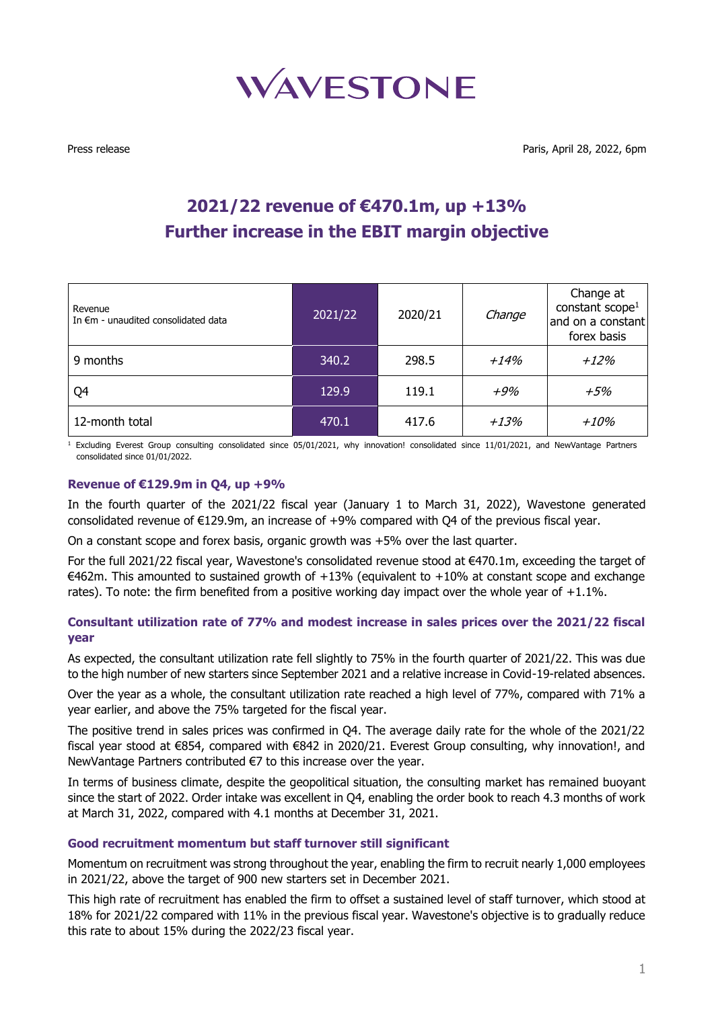

# **2021/22 revenue of €470.1m, up +13% Further increase in the EBIT margin objective**

| Revenue<br>In $\epsilon$ m - unaudited consolidated data | 2021/22 | 2020/21 | Change | Change at<br>constant scope <sup>1</sup><br>and on a constant<br>forex basis |
|----------------------------------------------------------|---------|---------|--------|------------------------------------------------------------------------------|
| 9 months                                                 | 340.2   | 298.5   | $+14%$ | $+12%$                                                                       |
| Q4                                                       | 129.9   | 119.1   | +9%    | $+5%$                                                                        |
| 12-month total                                           | 470.1   | 417.6   | $+13%$ | +10%                                                                         |

 $1$  Excluding Everest Group consulting consolidated since 05/01/2021, why innovation! consolidated since 11/01/2021, and NewVantage Partners consolidated since 01/01/2022.

### **Revenue of €129.9m in Q4, up +9%**

In the fourth quarter of the 2021/22 fiscal year (January 1 to March 31, 2022), Wavestone generated consolidated revenue of €129.9m, an increase of +9% compared with Q4 of the previous fiscal year.

On a constant scope and forex basis, organic growth was +5% over the last quarter.

For the full 2021/22 fiscal year, Wavestone's consolidated revenue stood at €470.1m, exceeding the target of €462m. This amounted to sustained growth of  $+13%$  (equivalent to  $+10%$  at constant scope and exchange rates). To note: the firm benefited from a positive working day impact over the whole year of +1.1%.

## **Consultant utilization rate of 77% and modest increase in sales prices over the 2021/22 fiscal year**

As expected, the consultant utilization rate fell slightly to 75% in the fourth quarter of 2021/22. This was due to the high number of new starters since September 2021 and a relative increase in Covid-19-related absences.

Over the year as a whole, the consultant utilization rate reached a high level of 77%, compared with 71% a year earlier, and above the 75% targeted for the fiscal year.

The positive trend in sales prices was confirmed in Q4. The average daily rate for the whole of the 2021/22 fiscal year stood at €854, compared with €842 in 2020/21. Everest Group consulting, why innovation!, and NewVantage Partners contributed €7 to this increase over the year.

In terms of business climate, despite the geopolitical situation, the consulting market has remained buoyant since the start of 2022. Order intake was excellent in Q4, enabling the order book to reach 4.3 months of work at March 31, 2022, compared with 4.1 months at December 31, 2021.

### **Good recruitment momentum but staff turnover still significant**

Momentum on recruitment was strong throughout the year, enabling the firm to recruit nearly 1,000 employees in 2021/22, above the target of 900 new starters set in December 2021.

This high rate of recruitment has enabled the firm to offset a sustained level of staff turnover, which stood at 18% for 2021/22 compared with 11% in the previous fiscal year. Wavestone's objective is to gradually reduce this rate to about 15% during the 2022/23 fiscal year.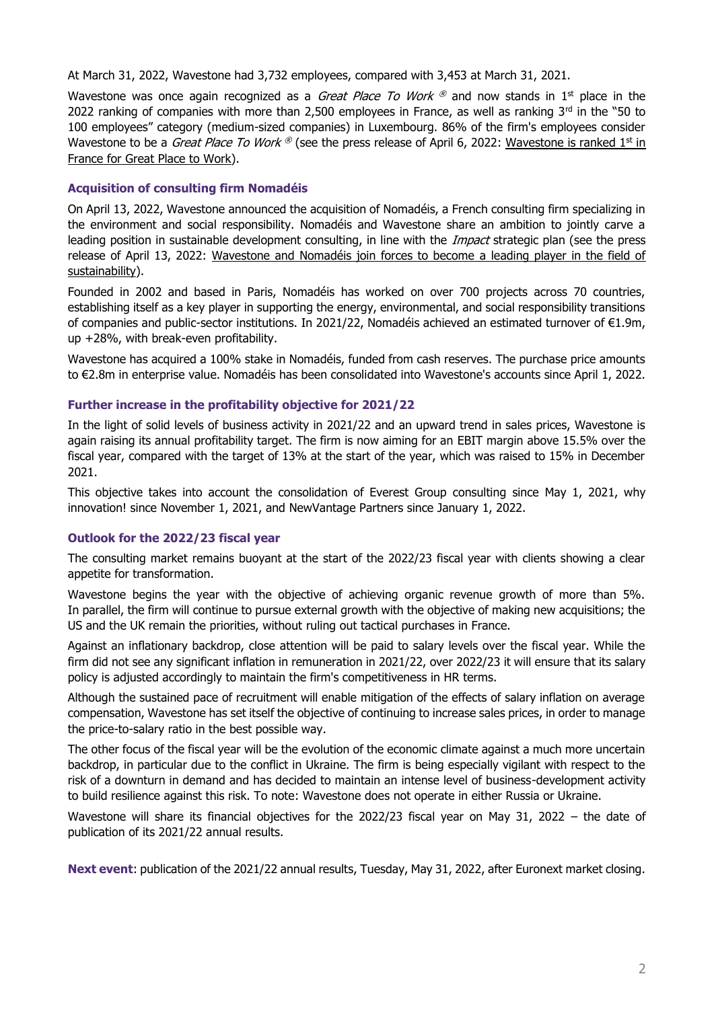At March 31, 2022, Wavestone had 3,732 employees, compared with 3,453 at March 31, 2021.

Wavestone was once again recognized as a *Great Place To Work*  $^{\circledR}$  and now stands in 1<sup>st</sup> place in the 2022 ranking of companies with more than 2,500 employees in France, as well as ranking  $3<sup>rd</sup>$  in the "50 to 100 employees" category (medium-sized companies) in Luxembourg. 86% of the firm's employees consider Wavestone to be a *Great Place To Work* ® ([see the press release of April 6, 2022:](https://www.wavestone.com/en/trade-report/wavestone-is-ranked-1st-in-france-for-great-place-to-work-2022r/) <u>[Wavestone is ranked 1](https://www.wavestone.com/en/trade-report/wavestone-is-ranked-1st-in-france-for-great-place-to-work-2022r/)st in</u> [France for Great Place to Work\)](https://www.wavestone.com/en/trade-report/wavestone-is-ranked-1st-in-france-for-great-place-to-work-2022r/).

# **Acquisition of consulting firm Nomadéis**

On April 13, 2022, Wavestone announced the acquisition of Nomadéis, a French consulting firm specializing in the environment and social responsibility. Nomadéis and Wavestone share an ambition to jointly carve a leading position in sustainable development consulting, in line with the *Impact* strategic plan (see the press [release of April 13, 2022:](https://www.wavestone.com/en/financial-report/wavestone-and-nomadeis-joins-forces-to-become-a-leading-player-in-the-field-of-sustainability/) [Wavestone and Nomadéis join forces to become](https://www.wavestone.com/en/financial-report/wavestone-and-nomadeis-joins-forces-to-become-a-leading-player-in-the-field-of-sustainability/) a leading player in the field of [sustainability\)](https://www.wavestone.com/en/financial-report/wavestone-and-nomadeis-joins-forces-to-become-a-leading-player-in-the-field-of-sustainability/).

Founded in 2002 and based in Paris, Nomadéis has worked on over 700 projects across 70 countries, establishing itself as a key player in supporting the energy, environmental, and social responsibility transitions of companies and public-sector institutions. In 2021/22, Nomadéis achieved an estimated turnover of €1.9m, up +28%, with break-even profitability.

Wavestone has acquired a 100% stake in Nomadéis, funded from cash reserves. The purchase price amounts to €2.8m in enterprise value. Nomadéis has been consolidated into Wavestone's accounts since April 1, 2022.

## **Further increase in the profitability objective for 2021/22**

In the light of solid levels of business activity in 2021/22 and an upward trend in sales prices, Wavestone is again raising its annual profitability target. The firm is now aiming for an EBIT margin above 15.5% over the fiscal year, compared with the target of 13% at the start of the year, which was raised to 15% in December 2021.

This objective takes into account the consolidation of Everest Group consulting since May 1, 2021, why innovation! since November 1, 2021, and NewVantage Partners since January 1, 2022.

# **Outlook for the 2022/23 fiscal year**

The consulting market remains buoyant at the start of the 2022/23 fiscal year with clients showing a clear appetite for transformation.

Wavestone begins the year with the objective of achieving organic revenue growth of more than 5%. In parallel, the firm will continue to pursue external growth with the objective of making new acquisitions; the US and the UK remain the priorities, without ruling out tactical purchases in France.

Against an inflationary backdrop, close attention will be paid to salary levels over the fiscal year. While the firm did not see any significant inflation in remuneration in 2021/22, over 2022/23 it will ensure that its salary policy is adjusted accordingly to maintain the firm's competitiveness in HR terms.

Although the sustained pace of recruitment will enable mitigation of the effects of salary inflation on average compensation, Wavestone has set itself the objective of continuing to increase sales prices, in order to manage the price-to-salary ratio in the best possible way.

The other focus of the fiscal year will be the evolution of the economic climate against a much more uncertain backdrop, in particular due to the conflict in Ukraine. The firm is being especially vigilant with respect to the risk of a downturn in demand and has decided to maintain an intense level of business-development activity to build resilience against this risk. To note: Wavestone does not operate in either Russia or Ukraine.

Wavestone will share its financial objectives for the 2022/23 fiscal year on May 31, 2022 – the date of publication of its 2021/22 annual results.

**Next event**: publication of the 2021/22 annual results, Tuesday, May 31, 2022, after Euronext market closing.